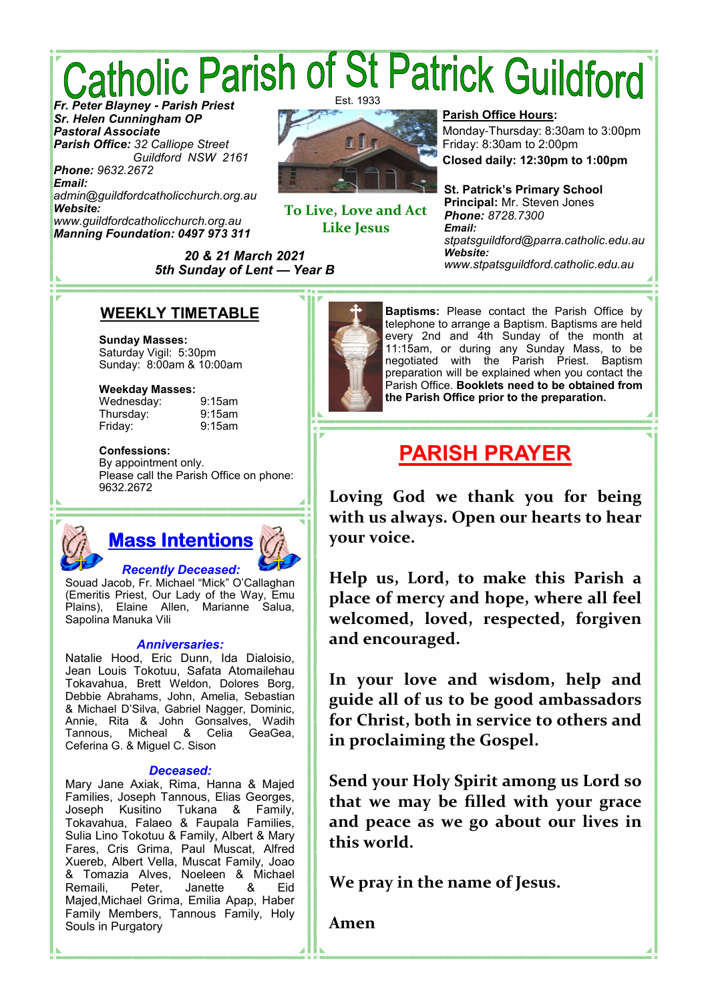# *Catholic Parish of St Patrick Guildford* Est. 1933

*Sr. Helen Cunningham OP Pastoral Associate Parish Office: 32 Calliope Street Guildford NSW 2161 Phone: 9632.2672*

*Email: admin@guildfordcatholicchurch.org.au Website: www.guildfordcatholicchurch.org.au Manning Foundation: 0497 973 311*



**To Live, Love and Act Like Jesus** 

*20 & 21 March 2021 5th Sunday of Lent* **—** *Year B*

### **Parish Office Hours:**

Monday-Thursday: 8:30am to 3:00pm Friday: 8:30am to 2:00pm

**Closed daily: 12:30pm to 1:00pm**

**St. Patrick's Primary School Principal:** Mr. Steven Jones *Phone: 8728.7300 Email: stpatsguildford@parra.catholic.edu.au Website: www.stpatsguildford.catholic.edu.au*

### **WEEKLY TIMETABLE**

**Sunday Masses:** Saturday Vigil: 5:30pm Sunday: 8:00am & 10:00am

### **Weekday Masses:**

Wednesday: 9:15am Thursday: 9:15am Friday: 9:15am

### **Confessions:**

By appointment only. Please call the Parish Office on phone: 9632.2672

# **Mass Intentions** *Recently Deceased:*

Souad Jacob, Fr. Michael "Mick" O'Callaghan (Emeritis Priest, Our Lady of the Way, Emu Plains), Elaine Allen, Marianne Salua, Sapolina Manuka Vili

### *Anniversaries:*

Natalie Hood, Eric Dunn, Ida Dialoisio, Jean Louis Tokotuu, Safata Atomailehau Tokavahua, Brett Weldon, Dolores Borg, Debbie Abrahams, John, Amelia, Sebastian & Michael D'Silva, Gabriel Nagger, Dominic, Annie, Rita & John Gonsalves, Wadih Celia GeaGea, Ceferina G. & Miguel C. Sison

### *Deceased:*

Mary Jane Axiak, Rima, Hanna & Majed Families, Joseph Tannous, Elias Georges, Joseph Kusitino Tukana & Family, Tokavahua, Falaeo & Faupala Families, Sulia Lino Tokotuu & Family, Albert & Mary Fares, Cris Grima, Paul Muscat, Alfred Xuereb, Albert Vella, Muscat Family, Joao & Tomazia Alves, Noeleen & Michael Remaili, Peter, Janette & Eid Majed,Michael Grima, Emilia Apap, Haber Family Members, Tannous Family, Holy Souls in Purgatory



**Baptisms:** Please contact the Parish Office by telephone to arrange a Baptism. Baptisms are held every 2nd and 4th Sunday of the month at 11:15am, or during any Sunday Mass, to be negotiated with the Parish Priest. Baptism preparation will be explained when you contact the Parish Office. **Booklets need to be obtained from the Parish Office prior to the preparation.**

# **PARISH PRAYER**

**Loving God we thank you for being with us always. Open our hearts to hear your voice.** 

**Help us, Lord, to make this Parish a place of mercy and hope, where all feel welcomed, loved, respected, forgiven and encouraged.** 

**In your love and wisdom, help and guide all of us to be good ambassadors for Christ, both in service to others and in proclaiming the Gospel.** 

**Send your Holy Spirit among us Lord so that we may be filled with your grace and peace as we go about our lives in this world.** 

**We pray in the name of Jesus.** 

**Amen**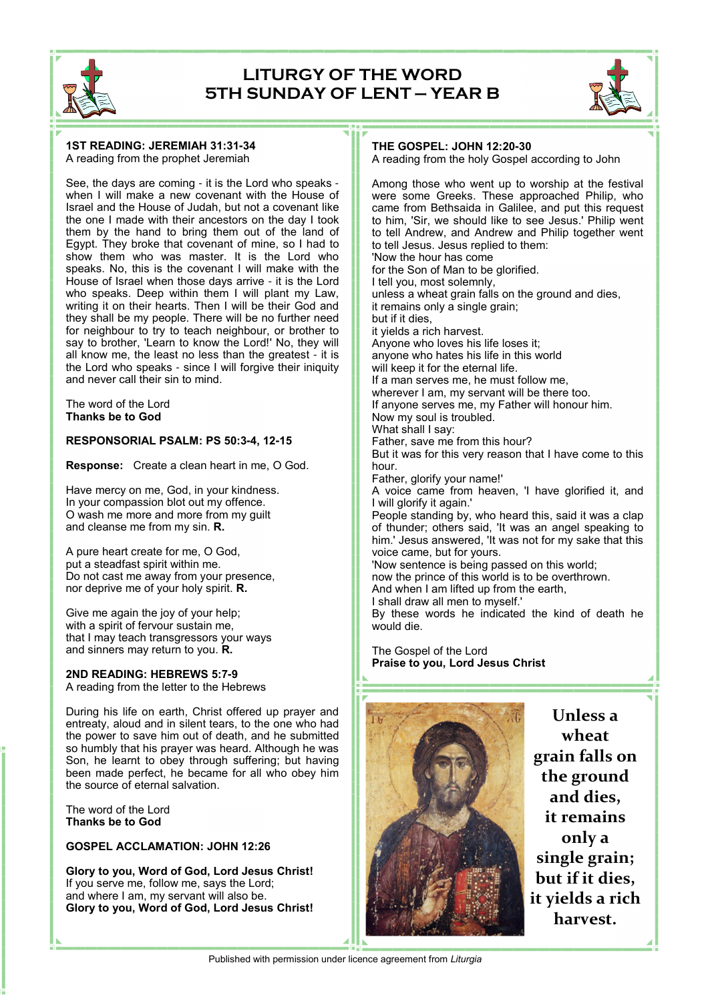

### **LITURGY OF THE WORD 5TH SUNDAY OF LENT — YEAR B**



#### **1ST READING: JEREMIAH 31:31-34** A reading from the prophet Jeremiah

See, the days are coming - it is the Lord who speaks when I will make a new covenant with the House of Israel and the House of Judah, but not a covenant like the one I made with their ancestors on the day I took them by the hand to bring them out of the land of Egypt. They broke that covenant of mine, so I had to show them who was master. It is the Lord who speaks. No, this is the covenant I will make with the House of Israel when those days arrive - it is the Lord who speaks. Deep within them I will plant my Law, writing it on their hearts. Then I will be their God and they shall be my people. There will be no further need for neighbour to try to teach neighbour, or brother to say to brother, 'Learn to know the Lord!' No, they will all know me, the least no less than the greatest - it is the Lord who speaks - since I will forgive their iniquity and never call their sin to mind.

The word of the Lord **Thanks be to God**

#### **RESPONSORIAL PSALM: PS 50:3-4, 12-15**

**Response:** Create a clean heart in me, O God.

Have mercy on me, God, in your kindness. In your compassion blot out my offence. O wash me more and more from my guilt and cleanse me from my sin. **R.**

A pure heart create for me, O God, put a steadfast spirit within me. Do not cast me away from your presence, nor deprive me of your holy spirit. **R.**

Give me again the joy of your help; with a spirit of fervour sustain me, that I may teach transgressors your ways and sinners may return to you. **R.**

**2ND READING: HEBREWS 5:7-9** A reading from the letter to the Hebrews

During his life on earth, Christ offered up prayer and entreaty, aloud and in silent tears, to the one who had the power to save him out of death, and he submitted so humbly that his prayer was heard. Although he was Son, he learnt to obey through suffering; but having been made perfect, he became for all who obey him the source of eternal salvation.

The word of the Lord **Thanks be to God**

**GOSPEL ACCLAMATION: JOHN 12:26**

**Glory to you, Word of God, Lord Jesus Christ!** If you serve me, follow me, says the Lord; and where I am, my servant will also be. **Glory to you, Word of God, Lord Jesus Christ!**

#### **THE GOSPEL: JOHN 12:20-30**

A reading from the holy Gospel according to John

Among those who went up to worship at the festival were some Greeks. These approached Philip, who came from Bethsaida in Galilee, and put this request to him, 'Sir, we should like to see Jesus.' Philip went to tell Andrew, and Andrew and Philip together went to tell Jesus. Jesus replied to them: 'Now the hour has come for the Son of Man to be glorified. I tell you, most solemnly, unless a wheat grain falls on the ground and dies, it remains only a single grain; but if it dies, it yields a rich harvest. Anyone who loves his life loses it; anyone who hates his life in this world will keep it for the eternal life. If a man serves me, he must follow me, wherever I am, my servant will be there too. If anyone serves me, my Father will honour him. Now my soul is troubled. What shall I say: Father, save me from this hour? But it was for this very reason that I have come to this hour. Father, glorify your name!' A voice came from heaven, 'I have glorified it, and I will glorify it again.' People standing by, who heard this, said it was a clap of thunder; others said, 'It was an angel speaking to him.' Jesus answered, 'It was not for my sake that this voice came, but for yours. 'Now sentence is being passed on this world; now the prince of this world is to be overthrown. And when I am lifted up from the earth, I shall draw all men to myself.' By these words he indicated the kind of death he would die.

The Gospel of the Lord **Praise to you, Lord Jesus Christ**



**Unless a wheat grain falls on the ground and dies, it remains only a single grain; but if it dies, it yields a rich harvest.**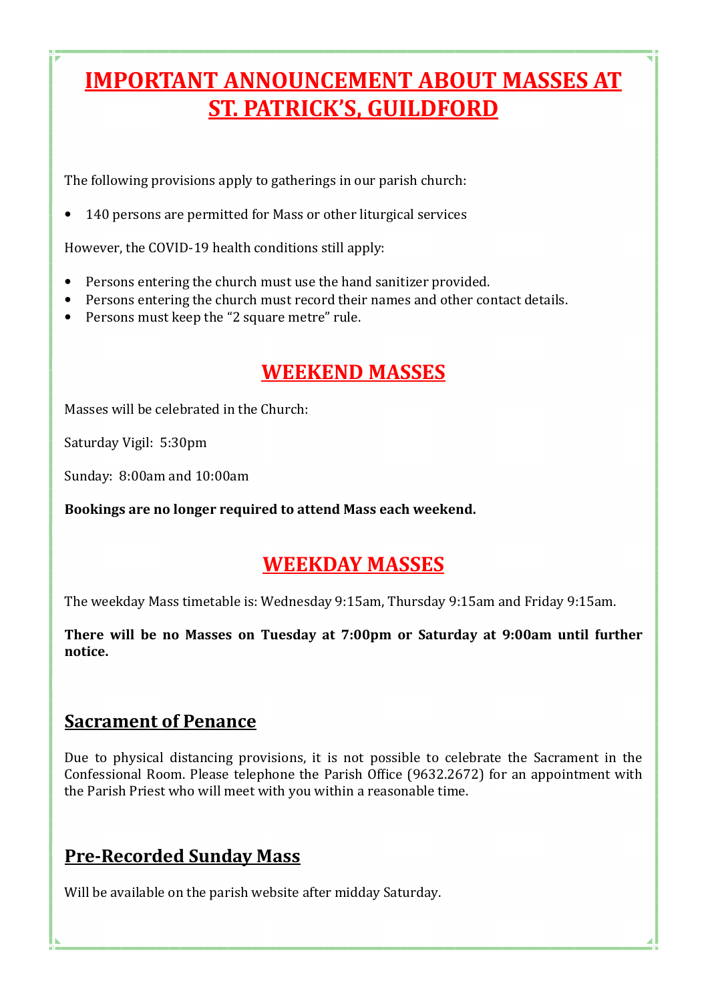# **IMPORTANT ANNOUNCEMENT ABOUT MASSES AT ST. PATRICK'S, GUILDFORD**

The following provisions apply to gatherings in our parish church:

• 140 persons are permitted for Mass or other liturgical services

However, the COVID-19 health conditions still apply:

- Persons entering the church must use the hand sanitizer provided.
- Persons entering the church must record their names and other contact details.
- Persons must keep the "2 square metre" rule.

## **WEEKEND MASSES**

Masses will be celebrated in the Church:

Saturday Vigil: 5:30pm

Sunday: 8:00am and 10:00am

Bookings are no longer required to attend Mass each weekend.

## **WEEKDAY MASSES**

The weekday Mass timetable is: Wednesday 9:15am, Thursday 9:15am and Friday 9:15am.

There will be no Masses on Tuesday at 7:00pm or Saturday at 9:00am until further **notice.** 

## **Sacrament of Penance**

Due to physical distancing provisions, it is not possible to celebrate the Sacrament in the Confessional Room. Please telephone the Parish Office (9632.2672) for an appointment with the Parish Priest who will meet with you within a reasonable time.

## **Pre-Recorded Sunday Mass**

Will be available on the parish website after midday Saturday.